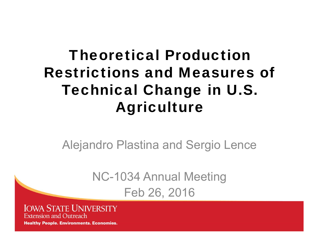#### Theoretical Production Restrictions and Measures of Technical Change in U.S. Agriculture

Alejandro Plastina and Sergio Lence

NC-1034 Annual Meeting Feb 26, 2016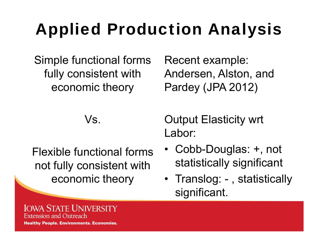# Applied Production Analysis

Simple functional forms fully consistent with economic theory

Recent example: Andersen, Alston, and Pardey (JPA 2012)

Vs.

Flexible functional forms not fully consistent with economic theory

Output Elasticity wrt Labor:

- Cobb-Douglas: +, not statistically significant
- Translog: , statistically significant.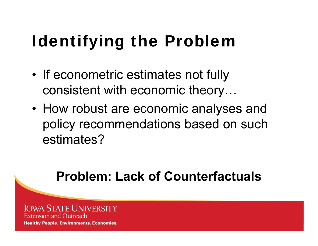# Identifying the Problem

- • If econometric estimates not fully consistent with economic theory…
- How robust are economic analyses and policy recommendations based on such estimates?

#### **Problem: Lack of Counterfactuals**

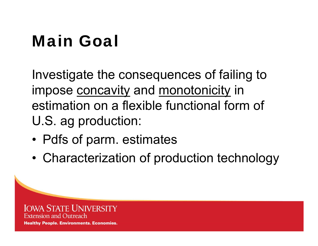# Main Goal

Investigate the consequences of failing to impose concavity and monotonicity in estimation on a flexible functional form of U.S. ag production:

- •Pdfs of parm. estimates
- •Characterization of production technology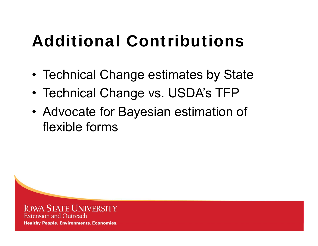# Additional Contributions

- •Technical Change estimates by State
- •Technical Change vs. USDA's TFP
- • Advocate for Bayesian estimation of flexible forms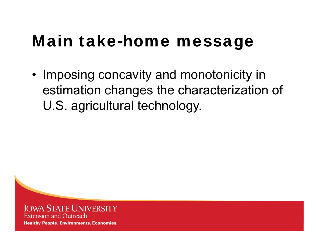#### Main take-home message

• Imposing concavity and monotonicity in estimation changes the characterization of U.S. agricultural technology.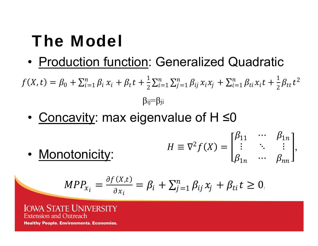# The Model

•Production function: Generalized Quadratic

 $f(X,t) = \beta_0 + \sum_{i=1}^n \beta_i x_i + \beta_t t + \frac{1}{2} \sum_{i=1}^n \sum_{j=1}^n \beta_{ij} x_i x_j + \sum_{i=1}^n \beta_{ti} x_i t + \frac{1}{2} \beta_{tt} t^2$  $\beta_{ij} = \beta_{ji}$ 

•<u>Concavity</u>: max eigenvalue of H ≤0

$$
H \equiv \nabla^2 f(X) = \begin{bmatrix} \beta_{11} & \cdots & \beta_{1n} \\ \vdots & \ddots & \vdots \\ \beta_{1n} & \cdots & \beta_{nn} \end{bmatrix},
$$

$$
MPP_{x_i} = \frac{\partial f(X,t)}{\partial x_i} = \beta_i + \sum_{j=1}^n \beta_{ij} x_j + \beta_{ti} t \ge 0
$$

,

**IOWA STATE UNIVERSITY Extension and Outreach Healthy People. Environments. Economies.** 

•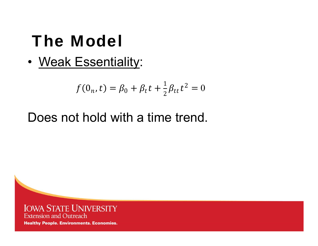## The Model

• Weak Essentiality:

$$
f(0_n, t) = \beta_0 + \beta_t t + \frac{1}{2} \beta_{tt} t^2 = 0
$$

#### Does not hold with a time trend.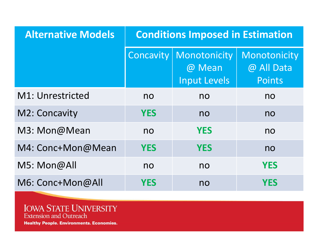| <b>Alternative Models</b> | <b>Conditions Imposed in Estimation</b> |                                               |                                             |  |  |  |
|---------------------------|-----------------------------------------|-----------------------------------------------|---------------------------------------------|--|--|--|
|                           | Concavity                               | Monotonicity<br>@ Mean<br><b>Input Levels</b> | Monotonicity<br>@ All Data<br><b>Points</b> |  |  |  |
| M1: Unrestricted          | no                                      | no                                            | no                                          |  |  |  |
| M2: Concavity             | <b>YES</b>                              | no                                            | no                                          |  |  |  |
| M3: Mon@Mean              | no                                      | <b>YES</b>                                    | no                                          |  |  |  |
| M4: Conc+Mon@Mean         | <b>YES</b>                              | <b>YES</b>                                    | no                                          |  |  |  |
| M5: Mon@All               | no                                      | no                                            | <b>YES</b>                                  |  |  |  |
| M6: Conc+Mon@All          | YES                                     | no                                            | YES                                         |  |  |  |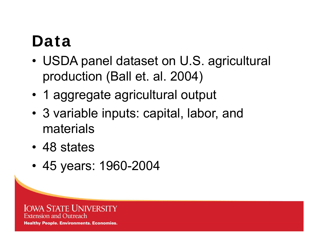### Data

- • USDA panel dataset on U.S. agricultural production (Ball et. al. 2004)
- 1 aggregate agricultural output
- 3 variable inputs: capital, labor, and materials
- 48 states
- 45 years: 1960-2004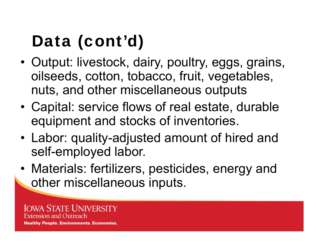# Data (cont'd)

- • Output: livestock, dairy, poultry, eggs, grains, oilseeds, cotton, tobacco, fruit, vegetables, nuts, and other miscellaneous outputs
- • Capital: service flows of real estate, durable equipment and stocks of inventories.
- • Labor: quality-adjusted amount of hired and self-employed labor.
- • Materials: fertilizers, pesticides, energy and other miscellaneous inputs.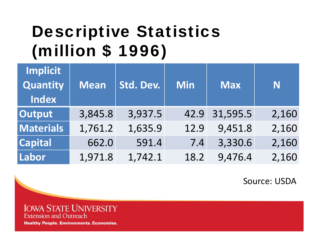## Descriptive Statistics (million \$ 1996)

| Implicit<br>Quantity<br>Index | <b>Mean</b> | Std. Dev. | <b>Min</b> | <b>Max</b> | N     |
|-------------------------------|-------------|-----------|------------|------------|-------|
| <b>Output</b>                 | 3,845.8     | 3,937.5   | 42.9       | 31,595.5   | 2,160 |
| <b>Materials</b>              | 1,761.2     | 1,635.9   | 12.9       | 9,451.8    | 2,160 |
| <b>Capital</b>                | 662.0       | 591.4     | 7.4        | 3,330.6    | 2,160 |
| Labor                         | 1,971.8     | 1,742.1   | 18.2       | 9,476.4    | 2,160 |

Source: USDA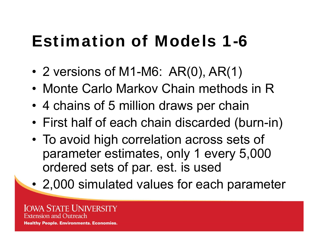## Estimation of Models 1-6

- •2 versions of M1-M6: AR(0), AR(1)
- Monte Carlo Markov Chain methods in R
- •4 chains of 5 million draws per chain
- •First half of each chain discarded (burn-in)
- • To avoid high correlation across sets of parameter estimates, only 1 every 5,000 ordered sets of par. est. is used
- •2,000 simulated values for each parameter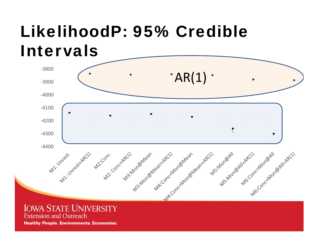# LikelihoodP: 95% Credible Intervals



**IOWA STATE UNIVERSITY Extension and Outreach**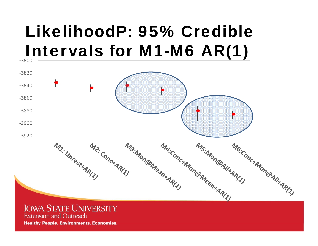### LikelihoodP: 95% Credible Intervals for M1-M6 AR(1)



#### **IOWA STATE UNIVERSITY Extension and Outreach**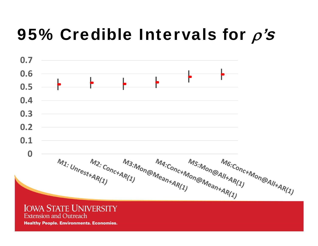### 95% Credible Intervals for  $\rho$ 's



**IOWA STATE UNIVERSITY Extension and Outreach**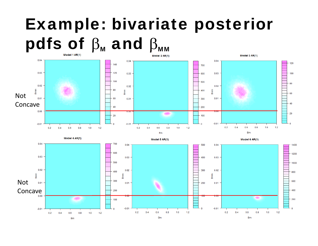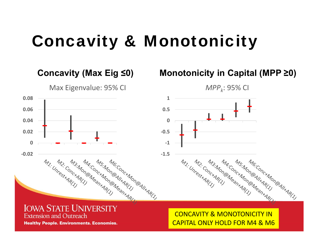### Concavity & Monotonicity



#### CONCAVITY& MONOTONICITY IN CAPITAL ONLY HOLD FOR M4 & M6

**Healthy People. Environments. Economies.** 

**Extension and Outreach**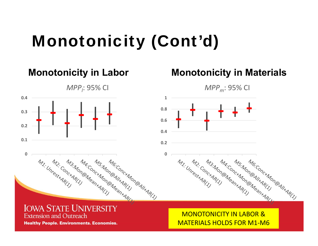## Monotonicity (Cont'd)



**Extension and Outreach** 

**Healthy People. Environments. Economies.** 

#### MONOTONICITY IN LABOR &MATERIALS HOLDS FOR M1‐M6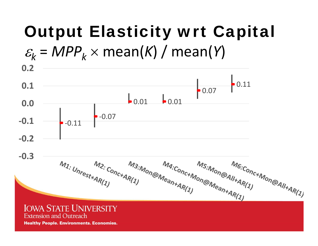# Output Elasticity wrt Capital



**Extension and Outreach**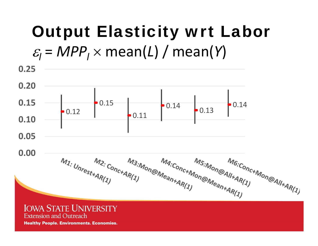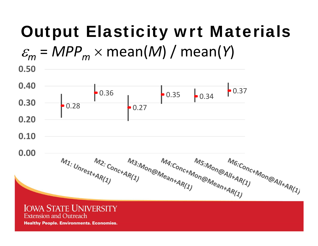# Output Elasticity wrt Materials

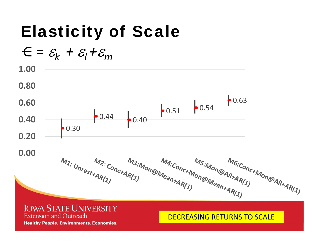# Elasticity of Scale

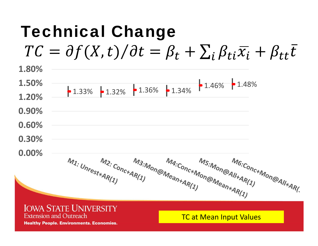#### Technical Change  $TC = \partial f(X, t) / \partial t = \beta_t + \sum_i \beta_{ti} \overline{x_i} + \beta_{tt} \overline{t}$ **1.80%1.50%** $1.33\%$   $\bullet$  1.32%  $\bullet$  1.36%  $\bullet$  1.34%  $\bullet$  1.46%  $\bullet$  1.48% **1.20%0.90%0.60%0.30%0.00%**Ma:Conc+Mon@Mean+AR(1) M6:Conc+Mon@All+AR(. M<sub>3:Mon@Mean+AR(1)</sub> M<sub>2: Conc+AR(1)</sub><br>t+AR(1) M1: Unrest+AR(1) M<sub>5:Mon@All+AR(1)</sub><br>Mon@Mean+AR(1) **IOWA STATE UNIVERSITY Extension and Outreach** TC at Mean Input Values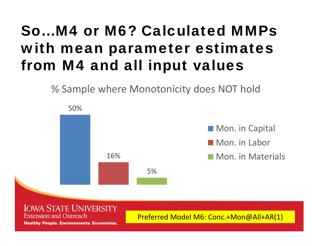#### So…M4 or M6? Calculated MMPs with mean parameter estimates from M4 and all input values

% Sample where Monotonicity does NOT hold

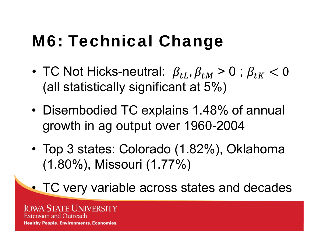# M6: Technical Change

- •TC Not Hicks-neutral:  $\ \beta_{tL}^{},\beta_{tM}^{}$  > 0 ;  $\beta_{tK}^{}$ (all statistically significant at 5%)
- • Disembodied TC explains 1.48% of annual growth in ag output over 1960-2004
- • Top 3 states: Colorado (1.82%), Oklahoma (1.80%), Missouri (1.77%)

TC very variable across states and decades

**IOWA STATE UNIVERSITY Extension and Outreach Healthy People. Environments. Economies.** 

•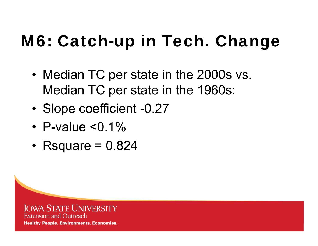# M6: Catch-up in Tech. Change

- • Median TC per state in the 2000s vs. Median TC per state in the 1960s:
- •Slope coefficient -0.27
- •P-value <0.1%
- Rsquare = 0.824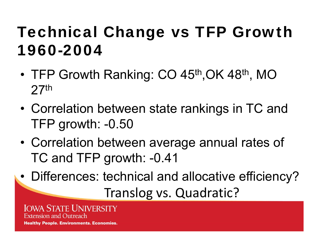### Technical Change vs TFP Growth 1960-2004

- •TFP Growth Ranking: CO 45<sup>th</sup>, OK 48<sup>th</sup>, MO 27th
- • Correlation between state rankings in TC and TFP growth: -0.50
- • Correlation between average annual rates of TC and TFP growth: -0.41
- •Differences: technical and allocative efficiency?

Translog vs. Quadratic?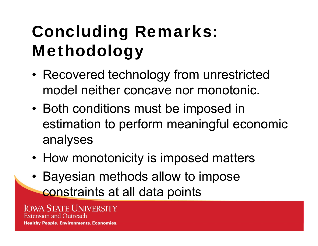# Concluding Remarks: Methodology

- • Recovered technology from unrestricted model neither concave nor monotonic.
- Both conditions must be imposed in estimation to perform meaningful economic analyses
- How monotonicity is imposed matters
- Bayesian methods allow to impose constraints at all data points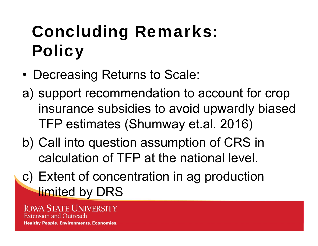# Concluding Remarks: **Policy**

- •Decreasing Returns to Scale:
- a) support recommendation to account for crop insurance subsidies to avoid upwardly biased TFP estimates (Shumway et.al. 2016)
- b) Call into question assumption of CRS in calculation of TFP at the national level.
- c) Extent of concentration in ag production **limited by DRS**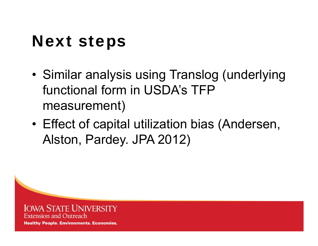## Next steps

- • Similar analysis using Translog (underlying functional form in USDA's TFP measurement)
- • Effect of capital utilization bias (Andersen, Alston, Pardey. JPA 2012)